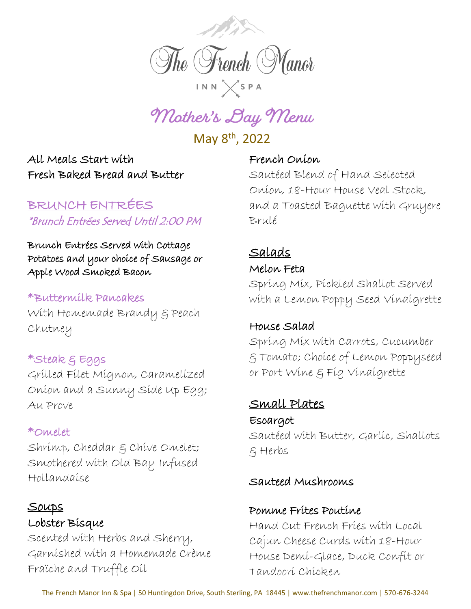

**Mother's Day Menu**

May 8th, 2022

All Meals Start with Fresh Baked Bread and Butter

# BRUNCH ENTRÉES \*Brunch Entrées Served Until 2:00 PM

Brunch Entrées Served with Cottage Potatoes and your choice of Sausage or Apple Wood Smoked Bacon

#### \*Buttermilk Pancakes

With Homemade Brandy & Peach Chutney

# \*Steak & Eggs

Grilled Filet Mignon, Caramelized Onion and a Sunny Side Up Egg; Au Prove

#### \*Omelet

Shrimp, Cheddar & Chive Omelet; Smothered with Old Bay Infused Hollandaise

#### Soups

## Lobster Bisque

Scented with Herbs and Sherry, Garnished with a Homemade Crème Fraïche and Truffle Oil

#### French Onion

Sautéed Blend of Hand Selected Onion, 18-Hour House Veal Stock, and a Toasted Baguette with Gruyere Brulé

# Salads

#### Melon Feta

Spring Mix, Pickled Shallot Served with a Lemon Poppy Seed Vinaigrette

#### House Salad

Spring Mix with Carrots, Cucumber & Tomato; Choice of Lemon Poppyseed or Port Wine & Fig Vinaigrette

## Small Plates Escargot

Sautéed with Butter, Garlic, Shallots & Herbs

#### Sauteed Mushrooms

#### Pomme Frites Poutine

Hand Cut French Fries with Local Cajun Cheese Curds with 18-Hour House Demi-Glace, Duck Confit or Tandoori Chicken